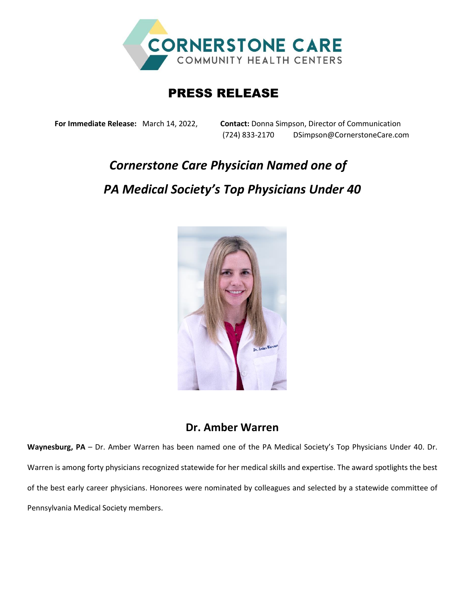

## PRESS RELEASE

**For Immediate Release:** March 14, 2022, **Contact:** Donna Simpson, Director of Communication (724) 833-2170 DSimpson@CornerstoneCare.com

## *Cornerstone Care Physician Named one of PA Medical Society's Top Physicians Under 40*



## **Dr. Amber Warren**

**Waynesburg, PA** – Dr. Amber Warren has been named one of the PA Medical Society's Top Physicians Under 40. Dr. Warren is among forty physicians recognized statewide for her medical skills and expertise. The award spotlights the best of the best early career physicians. Honorees were nominated by colleagues and selected by a statewide committee of Pennsylvania Medical Society members.